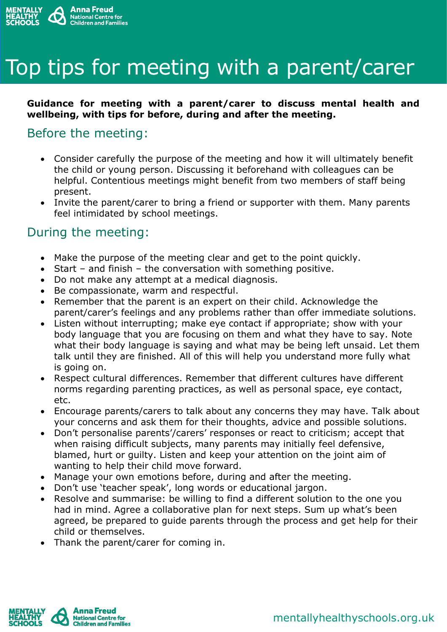

# Top tips for meeting with a parent/carer

#### **Guidance for meeting with a parent/carer to discuss mental health and wellbeing, with tips for before, during and after the meeting.**

### Before the meeting:

- Consider carefully the purpose of the meeting and how it will ultimately benefit the child or young person. Discussing it beforehand with colleagues can be helpful. Contentious meetings might benefit from two members of staff being present.
- Invite the parent/carer to bring a friend or supporter with them. Many parents feel intimidated by school meetings.

#### During the meeting:

- Make the purpose of the meeting clear and get to the point quickly.
- Start and finish the conversation with something positive.
- Do not make any attempt at a medical diagnosis.
- Be compassionate, warm and respectful.
- Remember that the parent is an expert on their child. Acknowledge the parent/carer's feelings and any problems rather than offer immediate solutions.
- Listen without interrupting; make eye contact if appropriate; show with your body language that you are focusing on them and what they have to say. Note what their body language is saying and what may be being left unsaid. Let them talk until they are finished. All of this will help you understand more fully what is going on.
- Respect cultural differences. Remember that different cultures have different norms regarding parenting practices, as well as personal space, eye contact, etc.
- Encourage parents/carers to talk about any concerns they may have. Talk about your concerns and ask them for their thoughts, advice and possible solutions.
- Don't personalise parents'/carers' responses or react to criticism; accept that when raising difficult subjects, many parents may initially feel defensive, blamed, hurt or guilty. Listen and keep your attention on the joint aim of wanting to help their child move forward.
- Manage your own emotions before, during and after the meeting.
- Don't use 'teacher speak', long words or educational jargon.
- Resolve and summarise: be willing to find a different solution to the one you had in mind. Agree a collaborative plan for next steps. Sum up what's been agreed, be prepared to guide parents through the process and get help for their child or themselves.
- Thank the parent/carer for coming in.